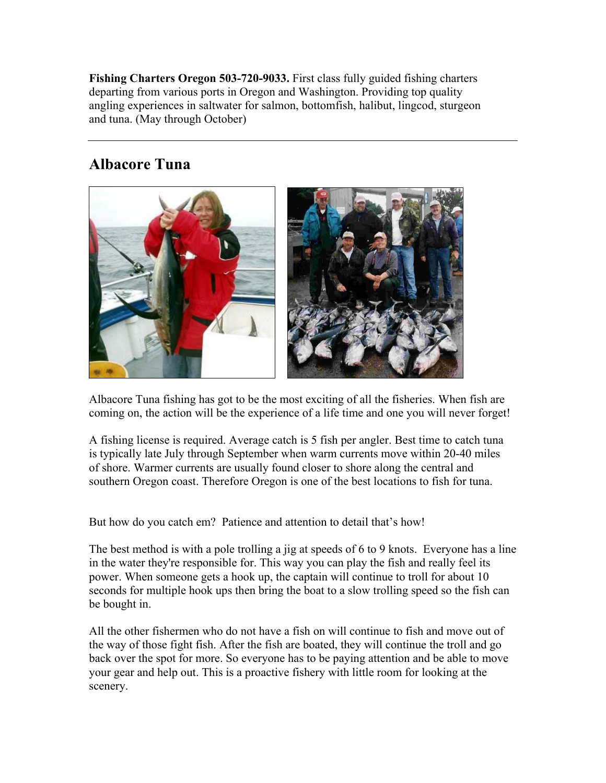**Fishing Charters Oregon 503-720-9033.** First class fully guided fishing charters departing from various ports in Oregon and Washington. Providing top quality angling experiences in saltwater for salmon, bottomfish, halibut, lingcod, sturgeon and tuna. (May through October)

## **Albacore Tuna**



Albacore Tuna fishing has got to be the most exciting of all the fisheries. When fish are coming on, the action will be the experience of a life time and one you will never forget!

A fishing license is required. Average catch is 5 fish per angler. Best time to catch tuna is typically late July through September when warm currents move within 20-40 miles of shore. Warmer currents are usually found closer to shore along the central and southern Oregon coast. Therefore Oregon is one of the best locations to fish for tuna.

But how do you catch em? Patience and attention to detail that's how!

The best method is with a pole trolling a jig at speeds of 6 to 9 knots. Everyone has a line in the water they're responsible for. This way you can play the fish and really feel its power. When someone gets a hook up, the captain will continue to troll for about 10 seconds for multiple hook ups then bring the boat to a slow trolling speed so the fish can be bought in.

All the other fishermen who do not have a fish on will continue to fish and move out of the way of those fight fish. After the fish are boated, they will continue the troll and go back over the spot for more. So everyone has to be paying attention and be able to move your gear and help out. This is a proactive fishery with little room for looking at the scenery.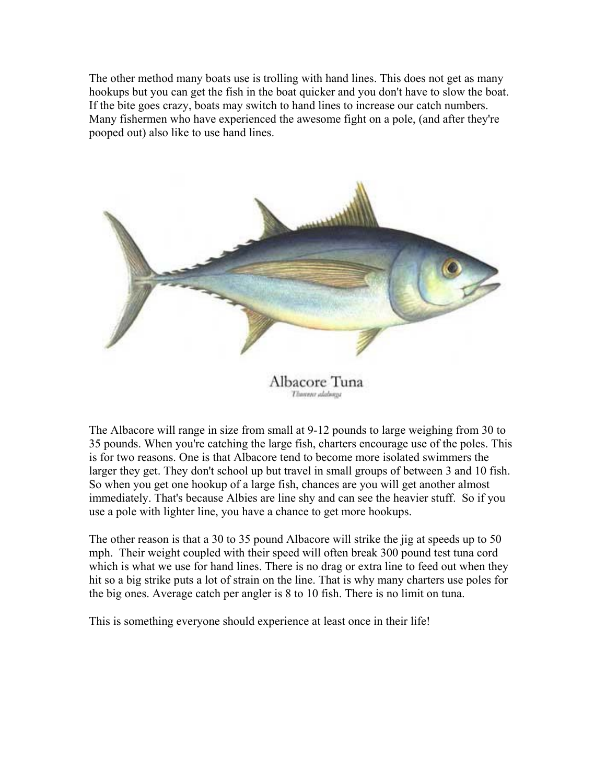The other method many boats use is trolling with hand lines. This does not get as many hookups but you can get the fish in the boat quicker and you don't have to slow the boat. If the bite goes crazy, boats may switch to hand lines to increase our catch numbers. Many fishermen who have experienced the awesome fight on a pole, (and after they're pooped out) also like to use hand lines.



Thomas alaborat The Albacore will range in size from small at 9-12 pounds to large weighing from 30 to 35 pounds. When you're catching the large fish, charters encourage use of the poles. This is for two reasons. One is that Albacore tend to become more isolated swimmers the larger they get. They don't school up but travel in small groups of between 3 and 10 fish. So when you get one hookup of a large fish, chances are you will get another almost immediately. That's because Albies are line shy and can see the heavier stuff. So if you

The other reason is that a 30 to 35 pound Albacore will strike the jig at speeds up to 50 mph. Their weight coupled with their speed will often break 300 pound test tuna cord which is what we use for hand lines. There is no drag or extra line to feed out when they hit so a big strike puts a lot of strain on the line. That is why many charters use poles for the big ones. Average catch per angler is 8 to 10 fish. There is no limit on tuna.

This is something everyone should experience at least once in their life!

use a pole with lighter line, you have a chance to get more hookups.